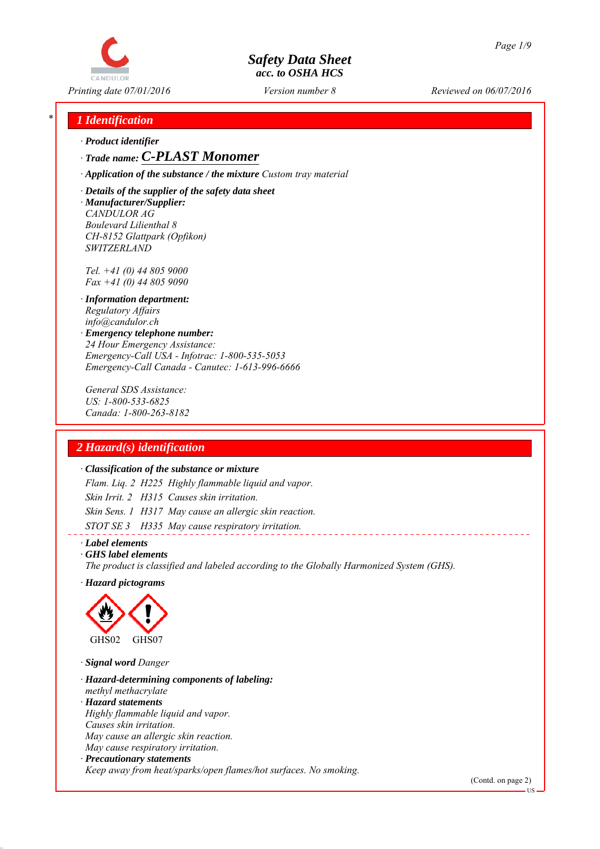

*Printing date 07/01/2016 Reviewed on 06/07/2016 Version number 8*

## *\* 1 Identification*

*∙ Product identifier*

#### *∙ Trade name: C-PLAST Monomer*

*∙ Application of the substance / the mixture Custom tray material*

*∙ Details of the supplier of the safety data sheet ∙ Manufacturer/Supplier: CANDULOR AG Boulevard Lilienthal 8 CH-8152 Glattpark (Opfikon) SWITZERLAND*

*Tel. +41 (0) 44 805 9000 Fax +41 (0) 44 805 9090*

- *∙ Information department: Regulatory Affairs info@candulor.ch*
- *∙ Emergency telephone number: 24 Hour Emergency Assistance: Emergency-Call USA - Infotrac: 1-800-535-5053 Emergency-Call Canada - Canutec: 1-613-996-6666*

*General SDS Assistance: US: 1-800-533-6825 Canada: 1-800-263-8182*

## *2 Hazard(s) identification*

#### *∙ Classification of the substance or mixture*

*Flam. Liq. 2 H225 Highly flammable liquid and vapor. Skin Irrit. 2 H315 Causes skin irritation. Skin Sens. 1 H317 May cause an allergic skin reaction. STOT SE 3 H335 May cause respiratory irritation.*

*∙ Label elements*

*∙ GHS label elements*

*The product is classified and labeled according to the Globally Harmonized System (GHS).*

*∙ Hazard pictograms*



*∙ Signal word Danger*

*∙ Hazard-determining components of labeling: methyl methacrylate ∙ Hazard statements Highly flammable liquid and vapor. Causes skin irritation. May cause an allergic skin reaction. May cause respiratory irritation. ∙ Precautionary statements Keep away from heat/sparks/open flames/hot surfaces. No smoking.*

(Contd. on page 2)

US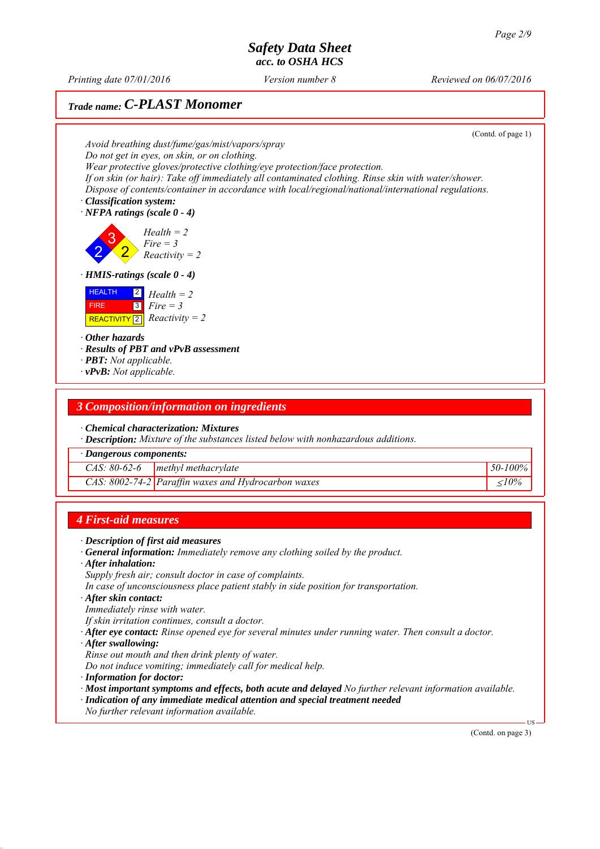*Printing date 07/01/2016 Reviewed on 06/07/2016 Version number 8*

# *Trade name: C-PLAST Monomer*

(Contd. of page 1) *Avoid breathing dust/fume/gas/mist/vapors/spray Do not get in eyes, on skin, or on clothing. Wear protective gloves/protective clothing/eye protection/face protection. If on skin (or hair): Take off immediately all contaminated clothing. Rinse skin with water/shower. Dispose of contents/container in accordance with local/regional/national/international regulations. ∙ Classification system: ∙ NFPA ratings (scale 0 - 4)* 2 3 2 *Health = 2 Fire = 3 Reactivity = 2 ∙ HMIS-ratings (scale 0 - 4)* HEALTH FIRE  $\boxed{\text{REACTIVITY} \boxed{2}}$  *Reactivity = 2* 2 *Health = 2* 3 *Fire = 3 ∙ Other hazards ∙ Results of PBT and vPvB assessment ∙ PBT: Not applicable. ∙ vPvB: Not applicable.*

## *3 Composition/information on ingredients*

- *∙ Chemical characterization: Mixtures*
- *∙ Description: Mixture of the substances listed below with nonhazardous additions.*

*∙ Dangerous components:*

| $CAS: 80-62-6$ | methyl methacrylate                                    | 50-100% |
|----------------|--------------------------------------------------------|---------|
|                | CAS: $8002$ -74-2 Paraffin waxes and Hydrocarbon waxes |         |

## *4 First-aid measures*

- *∙ Description of first aid measures*
- *∙ General information: Immediately remove any clothing soiled by the product.*
- *∙ After inhalation:*
- *Supply fresh air; consult doctor in case of complaints.*
- *In case of unconsciousness place patient stably in side position for transportation.*
- *∙ After skin contact:*
- *Immediately rinse with water.*
- *If skin irritation continues, consult a doctor.*
- *∙ After eye contact: Rinse opened eye for several minutes under running water. Then consult a doctor.*
- *∙ After swallowing:*
- *Rinse out mouth and then drink plenty of water.*
- *Do not induce vomiting; immediately call for medical help.*
- *∙ Information for doctor:*
- *∙ Most important symptoms and effects, both acute and delayed No further relevant information available.*
- *∙ Indication of any immediate medical attention and special treatment needed*
- *No further relevant information available.*

(Contd. on page 3)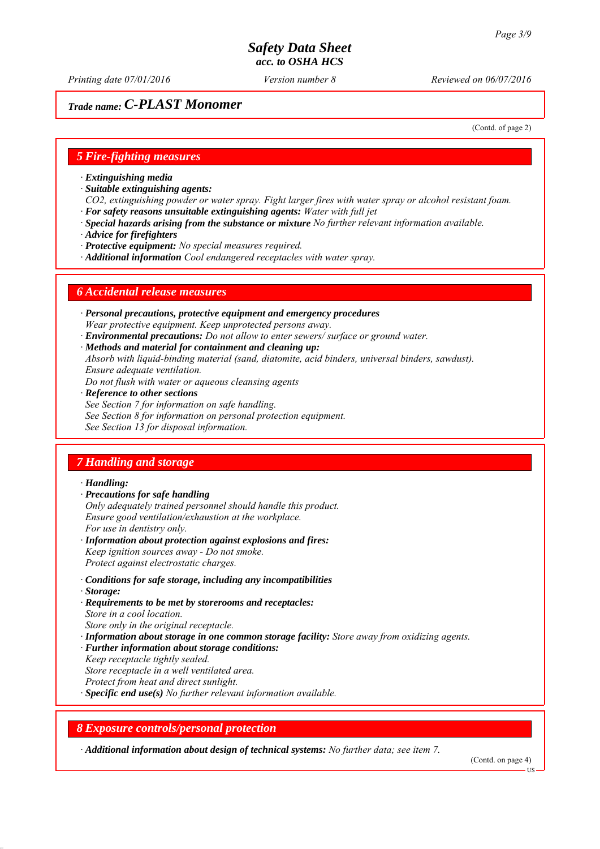*Printing date 07/01/2016 Reviewed on 06/07/2016 Version number 8*

## *Trade name: C-PLAST Monomer*

(Contd. of page 2)

#### *5 Fire-fighting measures*

- *∙ Extinguishing media*
- *∙ Suitable extinguishing agents:*
- *CO2, extinguishing powder or water spray. Fight larger fires with water spray or alcohol resistant foam. ∙ For safety reasons unsuitable extinguishing agents: Water with full jet*
- *∙ Special hazards arising from the substance or mixture No further relevant information available.*
- *∙ Advice for firefighters*
- *∙ Protective equipment: No special measures required.*
- *∙ Additional information Cool endangered receptacles with water spray.*

#### *6 Accidental release measures*

- *∙ Personal precautions, protective equipment and emergency procedures Wear protective equipment. Keep unprotected persons away.*
- *∙ Environmental precautions: Do not allow to enter sewers/ surface or ground water.*
- *∙ Methods and material for containment and cleaning up:*
- *Absorb with liquid-binding material (sand, diatomite, acid binders, universal binders, sawdust). Ensure adequate ventilation.*
- *Do not flush with water or aqueous cleansing agents*
- *∙ Reference to other sections*
- *See Section 7 for information on safe handling.*
- *See Section 8 for information on personal protection equipment.*
- *See Section 13 for disposal information.*

## *7 Handling and storage*

#### *∙ Handling:*

- *∙ Precautions for safe handling*
- *Only adequately trained personnel should handle this product. Ensure good ventilation/exhaustion at the workplace. For use in dentistry only.*
- *∙ Information about protection against explosions and fires: Keep ignition sources away - Do not smoke. Protect against electrostatic charges.*
- *∙ Conditions for safe storage, including any incompatibilities*
- *∙ Storage:*
- *∙ Requirements to be met by storerooms and receptacles: Store in a cool location. Store only in the original receptacle.*
- *∙ Information about storage in one common storage facility: Store away from oxidizing agents.*
- *∙ Further information about storage conditions:*
- *Keep receptacle tightly sealed.*
- *Store receptacle in a well ventilated area.*
- *Protect from heat and direct sunlight.*
- *∙ Specific end use(s) No further relevant information available.*

#### *8 Exposure controls/personal protection*

*∙ Additional information about design of technical systems: No further data; see item 7.*

(Contd. on page 4)

**HS**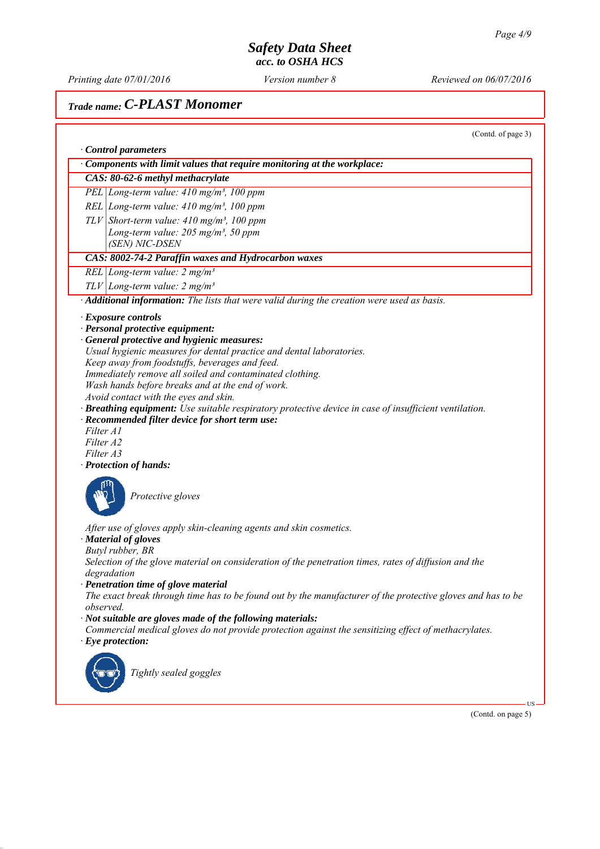*Printing date 07/01/2016 Reviewed on 06/07/2016 Version number 8*

# *Trade name: C-PLAST Monomer*

(Contd. of page 3)

|           | Components with limit values that require monitoring at the workplace:                                                                                                   |
|-----------|--------------------------------------------------------------------------------------------------------------------------------------------------------------------------|
|           | CAS: 80-62-6 methyl methacrylate                                                                                                                                         |
|           | PEL Long-term value: 410 mg/m <sup>3</sup> , 100 ppm                                                                                                                     |
|           | REL Long-term value: $410$ mg/m <sup>3</sup> , 100 ppm                                                                                                                   |
|           | $TLV$ Short-term value: 410 mg/m <sup>3</sup> , 100 ppm                                                                                                                  |
|           | Long-term value: $205$ mg/m <sup>3</sup> , 50 ppm                                                                                                                        |
|           | (SEN) NIC-DSEN                                                                                                                                                           |
|           | CAS: 8002-74-2 Paraffin waxes and Hydrocarbon waxes                                                                                                                      |
|           | REL Long-term value: $2 mg/m3$                                                                                                                                           |
|           | $TLV$ Long-term value: 2 mg/m <sup>3</sup>                                                                                                                               |
|           | Additional information: The lists that were valid during the creation were used as basis.                                                                                |
|           | $\cdot$ Exposure controls                                                                                                                                                |
|           | · Personal protective equipment:                                                                                                                                         |
|           | · General protective and hygienic measures:                                                                                                                              |
|           | Usual hygienic measures for dental practice and dental laboratories.<br>Keep away from foodstuffs, beverages and feed.                                                   |
|           | Immediately remove all soiled and contaminated clothing.                                                                                                                 |
|           | Wash hands before breaks and at the end of work.                                                                                                                         |
|           | Avoid contact with the eyes and skin.                                                                                                                                    |
|           | · Breathing equipment: Use suitable respiratory protective device in case of insufficient ventilation.                                                                   |
|           | · Recommended filter device for short term use:                                                                                                                          |
| Filter A1 |                                                                                                                                                                          |
| Filter A2 |                                                                                                                                                                          |
| Filter A3 |                                                                                                                                                                          |
|           | · Protection of hands:                                                                                                                                                   |
|           |                                                                                                                                                                          |
|           | Protective gloves                                                                                                                                                        |
|           |                                                                                                                                                                          |
|           | After use of gloves apply skin-cleaning agents and skin cosmetics.                                                                                                       |
|           | · Material of gloves                                                                                                                                                     |
|           | Butyl rubber, BR                                                                                                                                                         |
|           | Selection of the glove material on consideration of the penetration times, rates of diffusion and the                                                                    |
|           | degradation                                                                                                                                                              |
|           | · Penetration time of glove material                                                                                                                                     |
|           | The exact break through time has to be found out by the manufacturer of the protective gloves and has to be                                                              |
| observed. |                                                                                                                                                                          |
|           | $\cdot$ Not suitable are gloves made of the following materials:<br>Commercial medical gloves do not provide protection against the sensitizing effect of methacrylates. |
|           | $\cdot$ Eye protection:                                                                                                                                                  |
|           |                                                                                                                                                                          |
|           |                                                                                                                                                                          |
|           | Tightly sealed goggles                                                                                                                                                   |
|           |                                                                                                                                                                          |
|           |                                                                                                                                                                          |
|           | (Contd. on page 5)                                                                                                                                                       |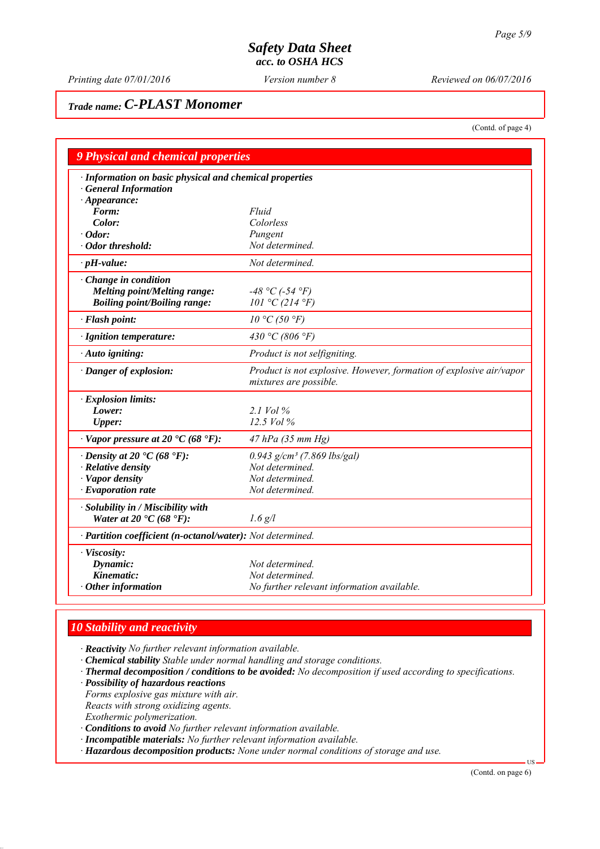*Printing date 07/01/2016 Reviewed on 06/07/2016 Version number 8*

# *Trade name: C-PLAST Monomer*

(Contd. of page 4)

| 9 Physical and chemical properties                                                      |                                                                                               |  |  |  |  |
|-----------------------------------------------------------------------------------------|-----------------------------------------------------------------------------------------------|--|--|--|--|
| · Information on basic physical and chemical properties<br><b>General Information</b>   |                                                                                               |  |  |  |  |
| $\cdot$ Appearance:<br>Form:                                                            | Fluid                                                                                         |  |  |  |  |
| Color:                                                                                  | Colorless                                                                                     |  |  |  |  |
| $\cdot$ Odor:                                                                           | Pungent                                                                                       |  |  |  |  |
| · Odor threshold:                                                                       | Not determined.                                                                               |  |  |  |  |
| $\cdot$ pH-value:                                                                       | Not determined.                                                                               |  |  |  |  |
| $\cdot$ Change in condition                                                             |                                                                                               |  |  |  |  |
| <b>Melting point/Melting range:</b>                                                     | $-48 °C$ (-54 °F)                                                                             |  |  |  |  |
| <b>Boiling point/Boiling range:</b>                                                     | 101 °C (214 °F)                                                                               |  |  |  |  |
| · Flash point:                                                                          | 10 °C (50 °F)                                                                                 |  |  |  |  |
| · Ignition temperature:                                                                 | 430 °C (806 °F)                                                                               |  |  |  |  |
| · Auto igniting:                                                                        | Product is not selfigniting.                                                                  |  |  |  |  |
| · Danger of explosion:                                                                  | Product is not explosive. However, formation of explosive air/vapor<br>mixtures are possible. |  |  |  |  |
| · Explosion limits:                                                                     |                                                                                               |  |  |  |  |
| Lower:                                                                                  | $2.1$ Vol $%$                                                                                 |  |  |  |  |
| <b>Upper:</b>                                                                           | $12.5$ Vol $%$                                                                                |  |  |  |  |
| $\cdot$ Vapor pressure at 20 $\cdot$ C (68 $\cdot$ F):                                  | 47 hPa (35 mm Hg)                                                                             |  |  |  |  |
| $\cdot$ Density at 20 $\cdot$ C (68 $\cdot$ F):                                         | $0.943$ g/cm <sup>3</sup> (7.869 lbs/gal)                                                     |  |  |  |  |
| · Relative density                                                                      | Not determined.                                                                               |  |  |  |  |
| · Vapor density                                                                         | Not determined.                                                                               |  |  |  |  |
| $\cdot$ Evaporation rate                                                                | Not determined.                                                                               |  |  |  |  |
| · Solubility in / Miscibility with<br>Water at 20 $\textdegree$ C (68 $\textdegree$ F): | $1.6$ g/l                                                                                     |  |  |  |  |
|                                                                                         |                                                                                               |  |  |  |  |
| · Partition coefficient (n-octanol/water): Not determined.                              |                                                                                               |  |  |  |  |
| · Viscosity:                                                                            |                                                                                               |  |  |  |  |
| Dynamic:                                                                                | Not determined.                                                                               |  |  |  |  |
| Kinematic:                                                                              | Not determined.                                                                               |  |  |  |  |
| $\cdot$ Other information                                                               | No further relevant information available.                                                    |  |  |  |  |

## *10 Stability and reactivity*

*∙ Reactivity No further relevant information available.*

- *∙ Chemical stability Stable under normal handling and storage conditions.*
- *∙ Thermal decomposition / conditions to be avoided: No decomposition if used according to specifications.*
- *∙ Possibility of hazardous reactions*

*Forms explosive gas mixture with air.*

*Reacts with strong oxidizing agents.*

*Exothermic polymerization.*

- *∙ Conditions to avoid No further relevant information available.*
- *∙ Incompatible materials: No further relevant information available.*
- *∙ Hazardous decomposition products: None under normal conditions of storage and use.*

(Contd. on page 6)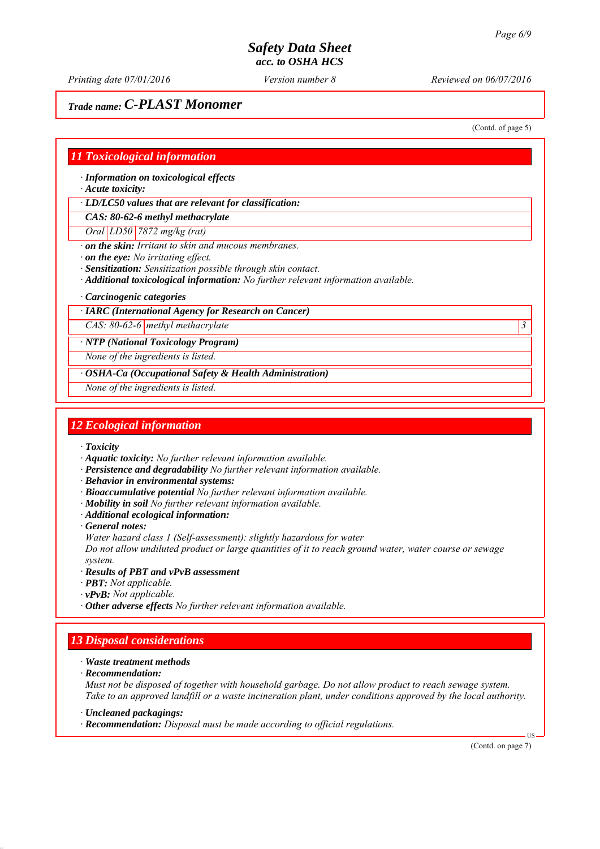*Printing date 07/01/2016 Reviewed on 06/07/2016 Version number 8*

# *Trade name: C-PLAST Monomer*

(Contd. of page 5)

#### *11 Toxicological information*

*∙ Information on toxicological effects*

*∙ Acute toxicity:*

*∙ LD/LC50 values that are relevant for classification:*

*CAS: 80-62-6 methyl methacrylate*

*Oral LD50 7872 mg/kg (rat)*

*∙ on the skin: Irritant to skin and mucous membranes.*

*∙ on the eye: No irritating effect.*

*∙ Sensitization: Sensitization possible through skin contact.*

*∙ Additional toxicological information: No further relevant information available.*

*∙ Carcinogenic categories*

#### *∙ IARC (International Agency for Research on Cancer)*

*CAS: 80-62-6 methyl methacrylate 3* 

*∙ NTP (National Toxicology Program)*

*None of the ingredients is listed.*

*∙ OSHA-Ca (Occupational Safety & Health Administration)*

*None of the ingredients is listed.*

#### *12 Ecological information*

*∙ Toxicity*

- *∙ Aquatic toxicity: No further relevant information available.*
- *∙ Persistence and degradability No further relevant information available.*
- *∙ Behavior in environmental systems:*
- *∙ Bioaccumulative potential No further relevant information available.*
- *∙ Mobility in soil No further relevant information available.*
- *∙ Additional ecological information:*
- *∙ General notes:*

*Water hazard class 1 (Self-assessment): slightly hazardous for water*

*Do not allow undiluted product or large quantities of it to reach ground water, water course or sewage system.*

- *∙ Results of PBT and vPvB assessment*
- *∙ PBT: Not applicable.*
- *∙ vPvB: Not applicable.*
- *∙ Other adverse effects No further relevant information available.*

## *13 Disposal considerations*

- *∙ Waste treatment methods*
- *∙ Recommendation:*

*Must not be disposed of together with household garbage. Do not allow product to reach sewage system. Take to an approved landfill or a waste incineration plant, under conditions approved by the local authority.*

*∙ Uncleaned packagings:*

*∙ Recommendation: Disposal must be made according to official regulations.*

(Contd. on page 7)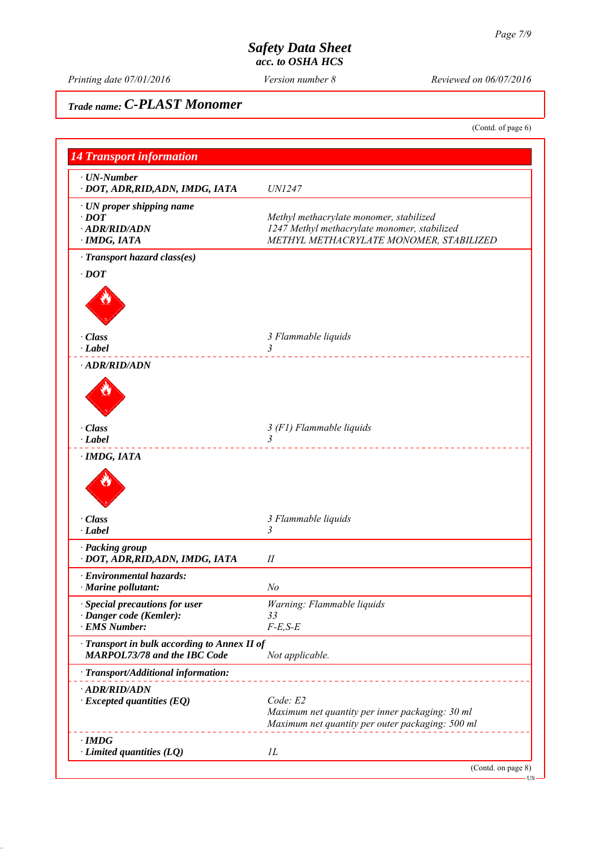*Printing date 07/01/2016 Reviewed on 06/07/2016 Version number 8*

# *Trade name: C-PLAST Monomer*

(Contd. of page 6)

| <b>14 Transport information</b>                                                     |                                                                                                     |
|-------------------------------------------------------------------------------------|-----------------------------------------------------------------------------------------------------|
| $\cdot$ UN-Number                                                                   | <b>UN1247</b>                                                                                       |
| · DOT, ADR, RID, ADN, IMDG, IATA                                                    |                                                                                                     |
| · UN proper shipping name<br>$\cdot$ DOT                                            |                                                                                                     |
| $\cdot$ ADR/RID/ADN                                                                 | Methyl methacrylate monomer, stabilized<br>1247 Methyl methacrylate monomer, stabilized             |
| · IMDG, IATA                                                                        | METHYL METHACRYLATE MONOMER, STABILIZED                                                             |
| · Transport hazard class(es)                                                        |                                                                                                     |
| $\cdot$ DOT                                                                         |                                                                                                     |
|                                                                                     |                                                                                                     |
| · Class<br>$\cdot$ Label                                                            | 3 Flammable liquids                                                                                 |
| · ADR/RID/ADN                                                                       | .                                                                                                   |
|                                                                                     |                                                                                                     |
| · Class                                                                             | 3 (F1) Flammable liquids                                                                            |
| $\cdot$ Label                                                                       | $\overline{3}$                                                                                      |
|                                                                                     |                                                                                                     |
| $\cdot$ Class<br>$\cdot$ Label                                                      | 3 Flammable liquids<br>3                                                                            |
| · Packing group<br>· DOT, ADR, RID, ADN, IMDG, IATA                                 | П                                                                                                   |
| · Environmental hazards:<br>Marine pollutant:                                       | No                                                                                                  |
| · Special precautions for user                                                      | Warning: Flammable liquids                                                                          |
| · Danger code (Kemler):                                                             | 33                                                                                                  |
| · EMS Number:                                                                       | $F-E, S-E$                                                                                          |
| · Transport in bulk according to Annex II of<br><b>MARPOL73/78 and the IBC Code</b> | Not applicable.                                                                                     |
| · Transport/Additional information:                                                 |                                                                                                     |
| · ADR/RID/ADN                                                                       |                                                                                                     |
| $\cdot$ Excepted quantities (EQ)                                                    | Code: E2                                                                                            |
|                                                                                     | Maximum net quantity per inner packaging: 30 ml<br>Maximum net quantity per outer packaging: 500 ml |
| $\cdot$ IMDG                                                                        |                                                                                                     |
| $\cdot$ Limited quantities (LQ)                                                     | IL                                                                                                  |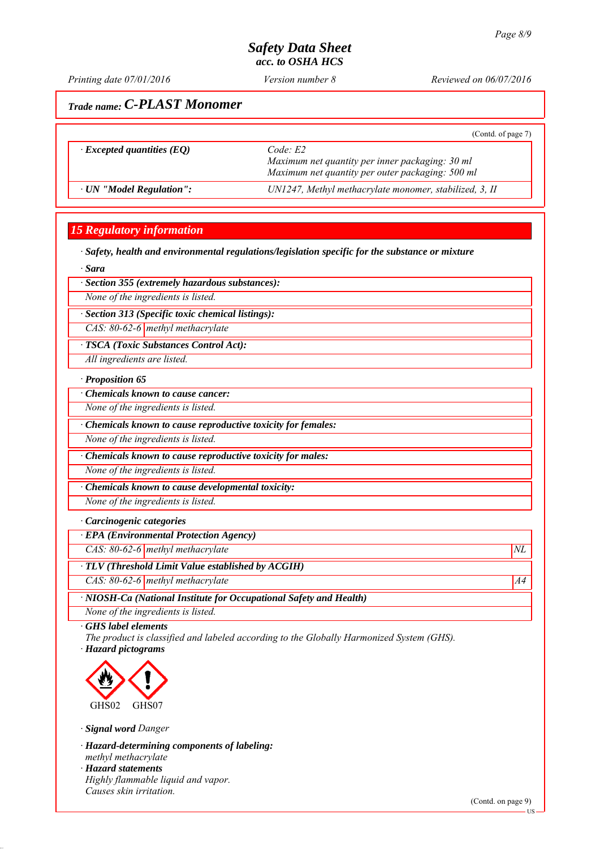*Printing date 07/01/2016 Reviewed on 06/07/2016 Version number 8*

# *Trade name: C-PLAST Monomer*

|                                  | (Contd. of page 7)                                                                                             |
|----------------------------------|----------------------------------------------------------------------------------------------------------------|
| $\cdot$ Excepted quantities (EQ) | Code E2<br>Maximum net quantity per inner packaging: 30 ml<br>Maximum net quantity per outer packaging: 500 ml |
| · UN "Model Regulation":         | UN1247, Methyl methacrylate monomer, stabilized, 3, II                                                         |

## *15 Regulatory information*

*∙ Safety, health and environmental regulations/legislation specific for the substance or mixture*

*∙ Sara*

*∙ Section 355 (extremely hazardous substances):*

*None of the ingredients is listed.*

*∙ Section 313 (Specific toxic chemical listings):*

*CAS: 80-62-6 methyl methacrylate*

*∙ TSCA (Toxic Substances Control Act):*

*All ingredients are listed.*

#### *∙ Proposition 65*

*∙ Chemicals known to cause cancer:*

*None of the ingredients is listed.*

*∙ Chemicals known to cause reproductive toxicity for females:*

*None of the ingredients is listed.*

*∙ Chemicals known to cause reproductive toxicity for males:*

*None of the ingredients is listed.*

*∙ Chemicals known to cause developmental toxicity:*

*None of the ingredients is listed.*

#### *∙ Carcinogenic categories*

*∙ EPA (Environmental Protection Agency)*

*CAS: 80-62-6 methyl methacrylate*  $NL$ 

*∙ TLV (Threshold Limit Value established by ACGIH)*

*CAS: 80-62-6 methyl methacrylate* A4<sup>4</sup>

*∙ NIOSH-Ca (National Institute for Occupational Safety and Health)*

*None of the ingredients is listed.*

*∙ GHS label elements*

*The product is classified and labeled according to the Globally Harmonized System (GHS). ∙ Hazard pictograms*



*∙ Signal word Danger*

*∙ Hazard-determining components of labeling: methyl methacrylate*

*∙ Hazard statements*

*Highly flammable liquid and vapor. Causes skin irritation.*

(Contd. on page 9)